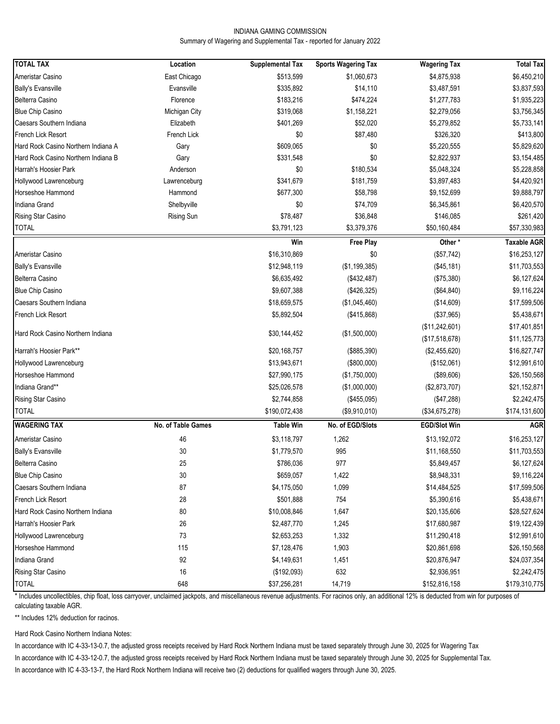### INDIANA GAMING COMMISSION Summary of Wagering and Supplemental Tax - reported for January 2022

| <b>TOTAL TAX</b>                    | Location           | <b>Supplemental Tax</b> | <b>Sports Wagering Tax</b> | <b>Wagering Tax</b> | <b>Total Tax</b>   |
|-------------------------------------|--------------------|-------------------------|----------------------------|---------------------|--------------------|
| Ameristar Casino                    | East Chicago       | \$513,599               | \$1,060,673                | \$4,875,938         | \$6,450,210        |
| <b>Bally's Evansville</b>           | Evansville         | \$335,892               | \$14,110                   | \$3,487,591         | \$3,837,593        |
| Belterra Casino                     | Florence           | \$183,216               | \$474,224                  | \$1,277,783         | \$1,935,223        |
| <b>Blue Chip Casino</b>             | Michigan City      | \$319,068               | \$1,158,221                | \$2,279,056         | \$3,756,345        |
| Caesars Southern Indiana            | Elizabeth          | \$401,269               | \$52,020                   | \$5,279,852         | \$5,733,141        |
| French Lick Resort                  | French Lick        | \$0                     | \$87,480                   | \$326,320           | \$413,800          |
| Hard Rock Casino Northern Indiana A | Gary               | \$609,065               | \$0                        | \$5,220,555         | \$5,829,620        |
| Hard Rock Casino Northern Indiana B | Gary               | \$331,548               | \$0                        | \$2,822,937         | \$3,154,485        |
| Harrah's Hoosier Park               | Anderson           | \$0                     | \$180,534                  | \$5,048,324         | \$5,228,858        |
| Hollywood Lawrenceburg              | Lawrenceburg       | \$341,679               | \$181,759                  | \$3,897,483         | \$4,420,921        |
| Horseshoe Hammond                   | Hammond            | \$677,300               | \$58,798                   | \$9,152,699         | \$9,888,797        |
| Indiana Grand                       | Shelbyville        | \$0                     | \$74,709                   | \$6,345,861         | \$6,420,570        |
| Rising Star Casino                  | Rising Sun         | \$78,487                | \$36,848                   | \$146,085           | \$261,420          |
| <b>TOTAL</b>                        |                    | \$3,791,123             | \$3,379,376                | \$50,160,484        | \$57,330,983       |
|                                     |                    | Win                     | <b>Free Play</b>           | Other*              | <b>Taxable AGR</b> |
| Ameristar Casino                    |                    | \$16,310,869            | \$0                        | (\$57,742)          | \$16,253,127       |
| <b>Bally's Evansville</b>           |                    | \$12,948,119            | (\$1,199,385)              | (\$45,181)          | \$11,703,553       |
| Belterra Casino                     |                    | \$6,635,492             | (\$432,487)                | (\$75,380)          | \$6,127,624        |
| <b>Blue Chip Casino</b>             |                    | \$9,607,388             | (\$426,325)                | (\$64, 840)         | \$9,116,224        |
| Caesars Southern Indiana            |                    | \$18,659,575            | (\$1,045,460)              | (\$14,609)          | \$17,599,506       |
| French Lick Resort                  |                    | \$5,892,504             | (\$415,868)                | (\$37,965)          | \$5,438,671        |
|                                     |                    |                         |                            | (\$11,242,601)      | \$17,401,851       |
| Hard Rock Casino Northern Indiana   |                    | \$30,144,452            | (\$1,500,000)              | (\$17,518,678)      | \$11,125,773       |
| Harrah's Hoosier Park**             |                    | \$20,168,757            | (\$885,390)                | (\$2,455,620)       | \$16,827,747       |
| Hollywood Lawrenceburg              |                    | \$13,943,671            | (\$800,000)                | (\$152,061)         | \$12,991,610       |
| Horseshoe Hammond                   |                    | \$27,990,175            | (\$1,750,000)              | (\$89,606)          | \$26,150,568       |
| Indiana Grand**                     |                    | \$25,026,578            | (\$1,000,000)              | (\$2,873,707)       | \$21,152,871       |
| Rising Star Casino                  |                    | \$2,744,858             | (\$455,095)                | (\$47,288)          | \$2,242,475        |
| <b>TOTAL</b>                        |                    | \$190,072,438           | (\$9,910,010)              | (\$34,675,278)      | \$174,131,600      |
| <b>WAGERING TAX</b>                 | No. of Table Games | <b>Table Win</b>        | No. of EGD/Slots           | <b>EGD/Slot Win</b> | <b>AGR</b>         |
|                                     |                    |                         |                            |                     |                    |
| Ameristar Casino                    | 46                 | \$3,118,797             | 1,262                      | \$13,192,072        | \$16,253,127       |
| <b>Bally's Evansville</b>           | 30                 | \$1,779,570             | 995                        | \$11,168,550        | \$11,703,553       |
| Belterra Casino                     | 25                 | \$786,036               | 977                        | \$5,849,457         | \$6,127,624        |
| <b>Blue Chip Casino</b>             | 30                 | \$659,057               | 1,422                      | \$8,948,331         | \$9,116,224        |
| Caesars Southern Indiana            | 87                 | \$4,175,050             | 1,099                      | \$14,484,525        | \$17,599,506       |
| French Lick Resort                  | 28                 | \$501,888               | 754                        | \$5,390,616         | \$5,438,671        |
| Hard Rock Casino Northern Indiana   | 80                 | \$10,008,846            | 1,647                      | \$20,135,606        | \$28,527,624       |
| Harrah's Hoosier Park               | 26                 | \$2,487,770             | 1,245                      | \$17,680,987        | \$19,122,439       |
| Hollywood Lawrenceburg              | 73                 | \$2,653,253             | 1,332                      | \$11,290,418        | \$12,991,610       |
| Horseshoe Hammond                   | 115                | \$7,128,476             | 1,903                      | \$20,861,698        | \$26,150,568       |
| Indiana Grand                       | 92                 | \$4,149,631             | 1,451                      | \$20,876,947        | \$24,037,354       |
| Rising Star Casino                  | $16\,$             | (\$192,093)             | 632                        | \$2,936,951         | \$2,242,475        |
| <b>TOTAL</b>                        | 648                | \$37,256,281            | 14,719                     | \$152,816,158       | \$179,310,775      |

\* Includes uncollectibles, chip float, loss carryover, unclaimed jackpots, and miscellaneous revenue adjustments. For racinos only, an additional 12% is deducted from win for purposes of calculating taxable AGR.

\*\* Includes 12% deduction for racinos.

Hard Rock Casino Northern Indiana Notes:

In accordance with IC 4-33-13-0.7, the adjusted gross receipts received by Hard Rock Northern Indiana must be taxed separately through June 30, 2025 for Wagering Tax

In accordance with IC 4-33-12-0.7, the adjusted gross receipts received by Hard Rock Northern Indiana must be taxed separately through June 30, 2025 for Supplemental Tax.

In accordance with IC 4-33-13-7, the Hard Rock Northern Indiana will receive two (2) deductions for qualified wagers through June 30, 2025.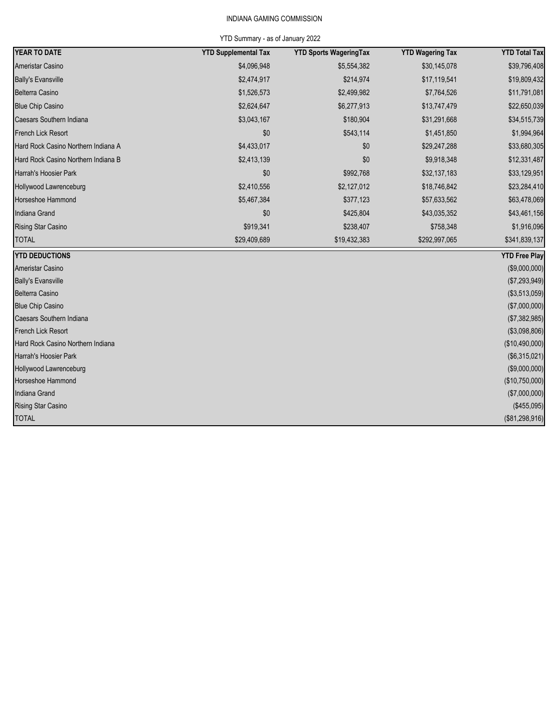# INDIANA GAMING COMMISSION

# YTD Summary - as of January 2022

| YEAR TO DATE                        | <b>YTD Supplemental Tax</b> | <b>YTD Sports WageringTax</b> | <b>YTD Wagering Tax</b> | <b>YTD Total Tax</b> |
|-------------------------------------|-----------------------------|-------------------------------|-------------------------|----------------------|
| Ameristar Casino                    | \$4,096,948                 | \$5,554,382                   | \$30,145,078            | \$39,796,408         |
| <b>Bally's Evansville</b>           | \$2,474,917                 | \$214,974                     | \$17,119,541            | \$19,809,432         |
| Belterra Casino                     | \$1,526,573                 | \$2,499,982                   | \$7,764,526             | \$11,791,081         |
| <b>Blue Chip Casino</b>             | \$2,624,647                 | \$6,277,913                   | \$13,747,479            | \$22,650,039         |
| Caesars Southern Indiana            | \$3,043,167                 | \$180,904                     | \$31,291,668            | \$34,515,739         |
| French Lick Resort                  | \$0                         | \$543,114                     | \$1,451,850             | \$1,994,964          |
| Hard Rock Casino Northern Indiana A | \$4,433,017                 | \$0                           | \$29,247,288            | \$33,680,305         |
| Hard Rock Casino Northern Indiana B | \$2,413,139                 | \$0                           | \$9,918,348             | \$12,331,487         |
| Harrah's Hoosier Park               | \$0                         | \$992,768                     | \$32,137,183            | \$33,129,951         |
| Hollywood Lawrenceburg              | \$2,410,556                 | \$2,127,012                   | \$18,746,842            | \$23,284,410         |
| Horseshoe Hammond                   | \$5,467,384                 | \$377,123                     | \$57,633,562            | \$63,478,069         |
| Indiana Grand                       | \$0                         | \$425,804                     | \$43,035,352            | \$43,461,156         |
| <b>Rising Star Casino</b>           | \$919,341                   | \$238,407                     | \$758,348               | \$1,916,096          |
| <b>TOTAL</b>                        | \$29,409,689                | \$19,432,383                  | \$292,997,065           | \$341,839,137        |
| <b>YTD DEDUCTIONS</b>               |                             |                               |                         | <b>YTD Free Play</b> |
| Ameristar Casino                    |                             |                               |                         | (\$9,000,000)        |
| <b>Bally's Evansville</b>           |                             |                               |                         | (\$7,293,949)        |
| Belterra Casino                     |                             |                               |                         | (\$3,513,059)        |
| <b>Blue Chip Casino</b>             |                             |                               |                         | (\$7,000,000)        |
| Caesars Southern Indiana            |                             |                               |                         | (\$7,382,985)        |
| French Lick Resort                  |                             |                               |                         | (\$3,098,806)        |
| Hard Rock Casino Northern Indiana   |                             |                               |                         | (\$10,490,000)       |
| Harrah's Hoosier Park               |                             |                               |                         | (\$6,315,021)        |
| Hollywood Lawrenceburg              |                             |                               |                         | (\$9,000,000)        |
| Horseshoe Hammond                   |                             |                               |                         | (\$10,750,000)       |
| Indiana Grand                       |                             |                               |                         | (\$7,000,000)        |
| Rising Star Casino                  |                             |                               |                         | (\$455,095)          |
| <b>TOTAL</b>                        |                             |                               |                         | (\$81,298,916)       |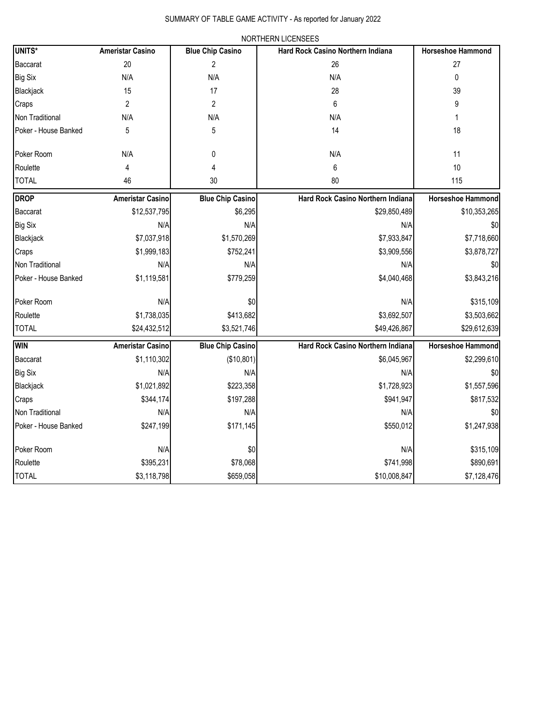|                      | NORTHERN LICENSEES      |                         |                                          |                          |  |  |  |
|----------------------|-------------------------|-------------------------|------------------------------------------|--------------------------|--|--|--|
| UNITS*               | <b>Ameristar Casino</b> | <b>Blue Chip Casino</b> | <b>Hard Rock Casino Northern Indiana</b> | <b>Horseshoe Hammond</b> |  |  |  |
| Baccarat             | 20                      | $\overline{2}$          | 26                                       | 27                       |  |  |  |
| Big Six              | N/A                     | N/A                     | N/A                                      | 0                        |  |  |  |
| Blackjack            | 15                      | 17                      | 28                                       | 39                       |  |  |  |
| Craps                | $\overline{2}$          | $\overline{2}$          | 6                                        | 9                        |  |  |  |
| Non Traditional      | N/A                     | N/A                     | N/A                                      | 1                        |  |  |  |
| Poker - House Banked | 5                       | 5                       | 14                                       | 18                       |  |  |  |
| Poker Room           | N/A                     | 0                       | N/A                                      | 11                       |  |  |  |
| Roulette             | 4                       | 4                       | 6                                        | 10                       |  |  |  |
| <b>TOTAL</b>         | 46                      | 30                      | 80                                       | 115                      |  |  |  |
| <b>DROP</b>          | <b>Ameristar Casino</b> | <b>Blue Chip Casino</b> | Hard Rock Casino Northern Indiana        | <b>Horseshoe Hammond</b> |  |  |  |
| Baccarat             | \$12,537,795            | \$6,295                 | \$29,850,489                             | \$10,353,265             |  |  |  |
| Big Six              | N/A                     | N/A                     | N/A                                      | \$0                      |  |  |  |
| Blackjack            | \$7,037,918             | \$1,570,269             | \$7,933,847                              | \$7,718,660              |  |  |  |
| Craps                | \$1,999,183             | \$752,241               | \$3,909,556                              | \$3,878,727              |  |  |  |
| Non Traditional      | N/A                     | N/A                     | N/A                                      | \$0                      |  |  |  |
| Poker - House Banked | \$1,119,581             | \$779,259               | \$4,040,468                              | \$3,843,216              |  |  |  |
| Poker Room           | N/A                     | \$0                     | N/A                                      | \$315,109                |  |  |  |
| Roulette             | \$1,738,035             | \$413,682               | \$3,692,507                              | \$3,503,662              |  |  |  |
| <b>TOTAL</b>         | \$24,432,512            | \$3,521,746             | \$49,426,867                             | \$29,612,639             |  |  |  |
| Win                  | <b>Ameristar Casino</b> | <b>Blue Chip Casino</b> | Hard Rock Casino Northern Indiana        | <b>Horseshoe Hammond</b> |  |  |  |
| Baccarat             | \$1,110,302             | (\$10,801)              | \$6,045,967                              | \$2,299,610              |  |  |  |
| Big Six              | N/A                     | N/A                     | N/A                                      | \$0                      |  |  |  |
| Blackjack            | \$1,021,892             | \$223,358               | \$1,728,923                              | \$1,557,596              |  |  |  |
| Craps                | \$344,174               | \$197,288               | \$941,947                                | \$817,532                |  |  |  |
| Non Traditional      | N/A                     | N/A                     | N/A                                      | \$0                      |  |  |  |
| Poker - House Banked | \$247,199               | \$171,145               | \$550,012                                | \$1,247,938              |  |  |  |
| Poker Room           | N/A                     | \$0                     | N/A                                      | \$315,109                |  |  |  |
| Roulette             | \$395,231               | \$78,068                | \$741,998                                | \$890,691                |  |  |  |
| <b>TOTAL</b>         | \$3,118,798             | \$659,058               | \$10,008,847                             | \$7,128,476              |  |  |  |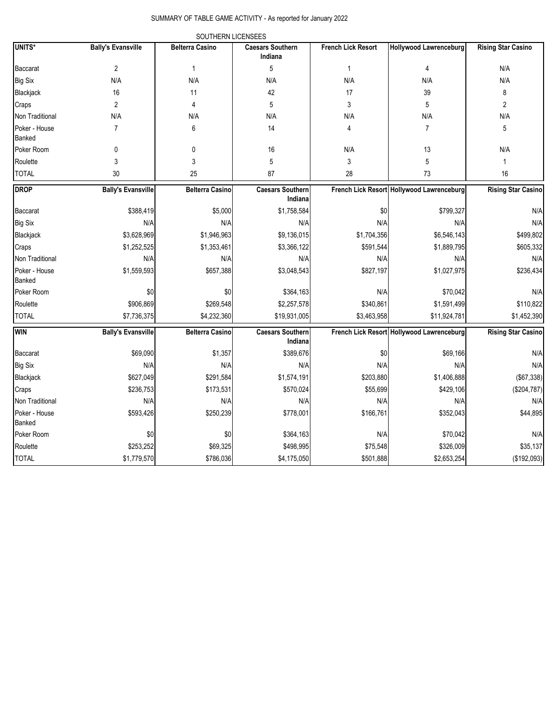SUMMARY OF TABLE GAME ACTIVITY - As reported for January 2022

|                         |                           | SOUTHERN LICENSEES     |                                    |                           |                                           |                           |
|-------------------------|---------------------------|------------------------|------------------------------------|---------------------------|-------------------------------------------|---------------------------|
| UNITS*                  | <b>Bally's Evansville</b> | <b>Belterra Casino</b> | <b>Caesars Southern</b><br>Indiana | <b>French Lick Resort</b> | <b>Hollywood Lawrenceburg</b>             | <b>Rising Star Casino</b> |
| Baccarat                | $\overline{2}$            | 1                      | 5                                  | $\mathbf{1}$              | $\overline{4}$                            | N/A                       |
| Big Six                 | N/A                       | N/A                    | N/A                                | N/A                       | N/A                                       | N/A                       |
| Blackjack               | 16                        | 11                     | 42                                 | 17                        | 39                                        | 8                         |
| Craps                   | $\overline{2}$            | 4                      | 5                                  | 3                         | 5                                         | $\overline{2}$            |
| Non Traditional         | N/A                       | N/A                    | N/A                                | N/A                       | N/A                                       | N/A                       |
| Poker - House<br>Banked | $\overline{7}$            | 6                      | 14                                 | 4                         | $\overline{7}$                            | 5                         |
| Poker Room              | 0                         | 0                      | 16                                 | N/A                       | 13                                        | N/A                       |
| Roulette                | 3                         | 3                      | 5                                  | 3                         | 5                                         | 1                         |
| <b>TOTAL</b>            | 30                        | 25                     | 87                                 | 28                        | 73                                        | 16                        |
| <b>DROP</b>             | <b>Bally's Evansville</b> | <b>Belterra Casino</b> | <b>Caesars Southern</b><br>Indiana |                           | French Lick Resort Hollywood Lawrenceburg | <b>Rising Star Casino</b> |
| Baccarat                | \$388,419                 | \$5,000                | \$1,758,584                        | \$0                       | \$799,327                                 | N/A                       |
| <b>Big Six</b>          | N/A                       | N/A                    | N/A                                | N/A                       | N/A                                       | N/A                       |
| Blackjack               | \$3,628,969               | \$1,946,963            | \$9,136,015                        | \$1,704,356               | \$6,546,143                               | \$499,802                 |
| Craps                   | \$1,252,525               | \$1,353,461            | \$3,366,122                        | \$591,544                 | \$1,889,795                               | \$605,332                 |
| Non Traditional         | N/A                       | N/A                    | N/A                                | N/A                       | N/A                                       | N/A                       |
| Poker - House<br>Banked | \$1,559,593               | \$657,388              | \$3,048,543                        | \$827,197                 | \$1,027,975                               | \$236,434                 |
| Poker Room              | \$0                       | \$0                    | \$364,163                          | N/A                       | \$70,042                                  | N/A                       |
| Roulette                | \$906,869                 | \$269,548              | \$2,257,578                        | \$340,861                 | \$1,591,499                               | \$110,822                 |
| <b>TOTAL</b>            | \$7,736,375               | \$4,232,360            | \$19,931,005                       | \$3,463,958               | \$11,924,781                              | \$1,452,390               |
| <b>WIN</b>              | <b>Bally's Evansville</b> | <b>Belterra Casino</b> | <b>Caesars Southern</b><br>Indiana |                           | French Lick Resort Hollywood Lawrenceburg | <b>Rising Star Casino</b> |
| Baccarat                | \$69,090                  | \$1,357                | \$389,676                          | \$0                       | \$69,166                                  | N/A                       |
| <b>Big Six</b>          | N/A                       | N/A                    | N/A                                | N/A                       | N/A                                       | N/A                       |
| Blackjack               | \$627,049                 | \$291,584              | \$1,574,191                        | \$203,880                 | \$1,406,888                               | (\$67,338)                |
| Craps                   | \$236,753                 | \$173,531              | \$570,024                          | \$55,699                  | \$429,106                                 | (\$204,787)               |
| Non Traditional         | N/A                       | N/A                    | N/A                                | N/A                       | N/A                                       | N/A                       |
| Poker - House<br>Banked | \$593,426                 | \$250,239              | \$778,001                          | \$166,761                 | \$352,043                                 | \$44,895                  |
| Poker Room              | \$0                       | \$0                    | \$364,163                          | N/A                       | \$70,042                                  | N/A                       |
| Roulette                | \$253,252                 | \$69,325               | \$498,995                          | \$75,548                  | \$326,009                                 | \$35,137                  |
| <b>TOTAL</b>            | \$1,779,570               | \$786,036              | \$4,175,050                        | \$501,888                 | \$2,653,254                               | (\$192,093)               |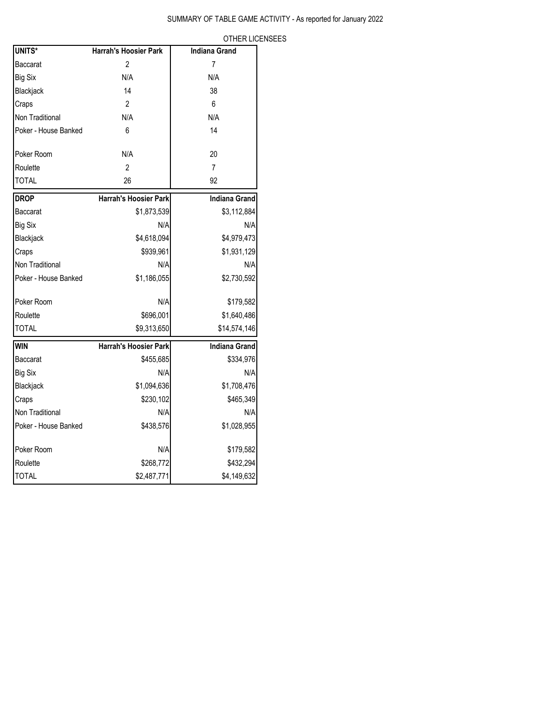OTHER LICENSEES

| UNITS*               | Harrah's Hoosier Park        | <b>Indiana Grand</b> |
|----------------------|------------------------------|----------------------|
| Baccarat             | $\overline{2}$               | 7                    |
| <b>Big Six</b>       | N/A                          | N/A                  |
| Blackjack            | 14                           | 38                   |
| Craps                | $\overline{2}$               | 6                    |
| Non Traditional      | N/A                          | N/A                  |
| Poker - House Banked | 6                            | 14                   |
|                      |                              |                      |
| Poker Room           | N/A                          | 20                   |
| Roulette             | 2                            | $\overline{7}$       |
| <b>TOTAL</b>         | 26                           | 92                   |
| <b>DROP</b>          | <b>Harrah's Hoosier Park</b> | <b>Indiana Grand</b> |
| Baccarat             | \$1,873,539                  | \$3,112,884          |
| <b>Big Six</b>       | N/A                          | N/A                  |
| Blackjack            | \$4,618,094                  | \$4,979,473          |
| Craps                | \$939,961                    | \$1,931,129          |
| Non Traditional      | N/A                          | N/A                  |
| Poker - House Banked | \$1,186,055                  | \$2,730,592          |
|                      |                              |                      |
| Poker Room           | N/A                          | \$179,582            |
| Roulette             | \$696,001                    | \$1,640,486          |
| <b>TOTAL</b>         | \$9,313,650                  | \$14,574,146         |
| <b>WIN</b>           | Harrah's Hoosier Park        | <b>Indiana Grand</b> |
| Baccarat             | \$455,685                    | \$334,976            |
| <b>Big Six</b>       | N/A                          | N/A                  |
| Blackjack            | \$1,094,636                  | \$1,708,476          |
| Craps                | \$230,102                    | \$465,349            |
| Non Traditional      | N/A                          | N/A                  |
| Poker - House Banked | \$438,576                    | \$1,028,955          |
| Poker Room           | N/A                          | \$179,582            |
| Roulette             | \$268,772                    | \$432,294            |
| <b>TOTAL</b>         | \$2,487,771                  | \$4,149,632          |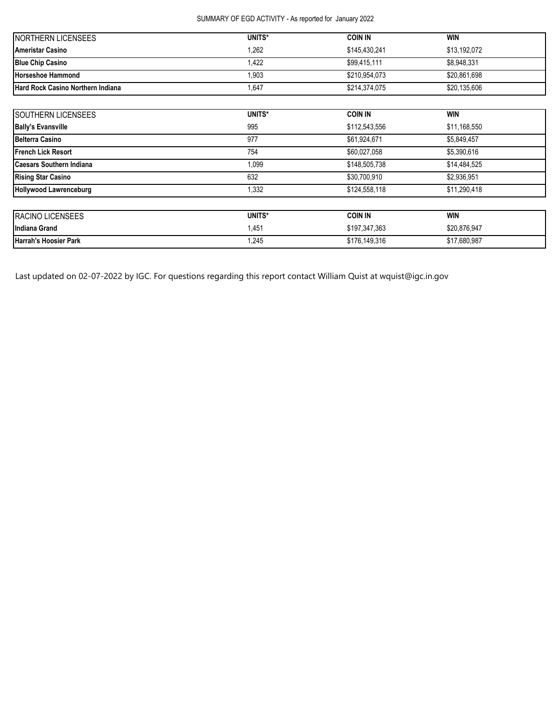# SUMMARY OF EGD ACTIVITY - As reported for January 2022

| <b>INORTHERN LICENSEES</b>               | UNITS* | <b>COIN IN</b> | <b>WIN</b>   |
|------------------------------------------|--------|----------------|--------------|
| <b>Ameristar Casino</b>                  | 1,262  | \$145.430.241  | \$13,192,072 |
| <b>Blue Chip Casino</b>                  | 1,422  | \$99,415,111   | \$8,948,331  |
| <b>Horseshoe Hammond</b>                 | 1.903  | \$210.954.073  | \$20,861,698 |
| <b>Hard Rock Casino Northern Indiana</b> | 1,647  | \$214,374,075  | \$20,135,606 |

| SOUTHERN LICENSEES              | UNITS* | <b>COIN IN</b> | <b>WIN</b>   |  |
|---------------------------------|--------|----------------|--------------|--|
| <b>Bally's Evansville</b>       | 995    | \$112,543,556  | \$11,168,550 |  |
| <b>Belterra Casino</b>          | 977    | \$61,924,671   | \$5,849,457  |  |
| <b>IFrench Lick Resort</b>      | 754    | \$60,027,058   | \$5,390,616  |  |
| <b>Caesars Southern Indiana</b> | 1,099  | \$148,505,738  | \$14,484,525 |  |
| <b>Rising Star Casino</b>       | 632    | \$30,700,910   | \$2,936,951  |  |
| <b>Hollywood Lawrenceburg</b>   | 1,332  | \$124,558,118  | \$11,290,418 |  |
| RACINO LICENSEES                | UNITS* | <b>COIN IN</b> | <b>WIN</b>   |  |
| Indiana Grand                   | 1,451  | \$197,347,363  | \$20,876,947 |  |
| Harrah's Hoosier Park           | 1,245  | \$176,149,316  | \$17,680,987 |  |

Last updated on 02-07-2022 by IGC. For questions regarding this report contact William Quist at wquist@igc.in.gov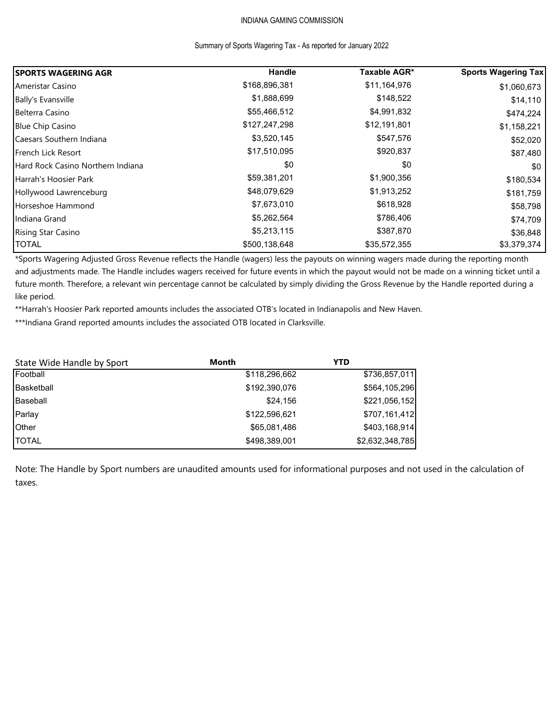# INDIANA GAMING COMMISSION

## Summary of Sports Wagering Tax - As reported for January 2022

| <b>ISPORTS WAGERING AGR</b>       | Handle        | Taxable AGR* | <b>Sports Wagering Tax</b> |
|-----------------------------------|---------------|--------------|----------------------------|
| Ameristar Casino                  | \$168,896,381 | \$11,164,976 | \$1,060,673                |
| Bally's Evansville                | \$1,888,699   | \$148,522    | \$14,110                   |
| Belterra Casino                   | \$55,466,512  | \$4,991,832  | \$474,224                  |
| <b>Blue Chip Casino</b>           | \$127,247,298 | \$12,191,801 | \$1,158,221                |
| Caesars Southern Indiana          | \$3,520,145   | \$547,576    | \$52,020                   |
| <b>French Lick Resort</b>         | \$17,510,095  | \$920,837    | \$87,480                   |
| Hard Rock Casino Northern Indiana | \$0           | \$0          | \$0                        |
| Harrah's Hoosier Park             | \$59,381,201  | \$1,900,356  | \$180,534                  |
| Hollywood Lawrenceburg            | \$48,079,629  | \$1,913,252  | \$181,759                  |
| Horseshoe Hammond                 | \$7,673,010   | \$618,928    | \$58,798                   |
| Indiana Grand                     | \$5,262,564   | \$786,406    | \$74,709                   |
| <b>Rising Star Casino</b>         | \$5,213,115   | \$387,870    | \$36,848                   |
| <b>TOTAL</b>                      | \$500,138,648 | \$35,572,355 | \$3,379,374                |

\*Sports Wagering Adjusted Gross Revenue reflects the Handle (wagers) less the payouts on winning wagers made during the reporting month and adjustments made. The Handle includes wagers received for future events in which the payout would not be made on a winning ticket until a future month. Therefore, a relevant win percentage cannot be calculated by simply dividing the Gross Revenue by the Handle reported during a like period.

\*\*Harrah's Hoosier Park reported amounts includes the associated OTB's located in Indianapolis and New Haven.

\*\*\*Indiana Grand reported amounts includes the associated OTB located in Clarksville.

| State Wide Handle by Sport | Month         | YTD             |
|----------------------------|---------------|-----------------|
| Football                   | \$118,296,662 | \$736,857,011   |
| Basketball                 | \$192,390,076 | \$564,105,296   |
| Baseball                   | \$24,156      | \$221,056,152   |
| Parlay                     | \$122,596,621 | \$707,161,412   |
| Other                      | \$65,081,486  | \$403,168,914   |
| <b>TOTAL</b>               | \$498,389,001 | \$2,632,348,785 |

Note: The Handle by Sport numbers are unaudited amounts used for informational purposes and not used in the calculation of taxes.